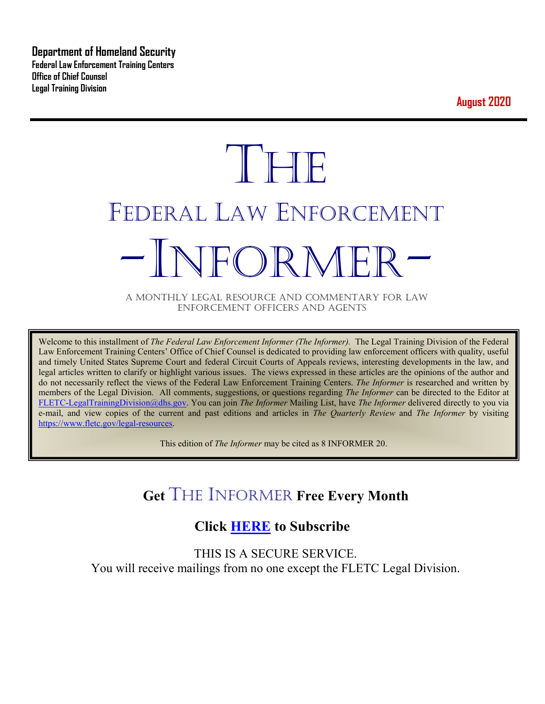**Department of Homeland Security Federal Law Enforcement Training Centers Office of Chief Counsel Legal Training Division** 

**August 2020**

# **THE** FEDERAL LAW ENFORCEMENT -INFORMER- A MONTHLY LEGAL RESOURCE AND COMMENTARY FOR LAW

ENFORCEMENT OFFICERS AND AGENTS

Welcome to this installment of *The Federal Law Enforcement Informer (The Informer).* The Legal Training Division of the Federal Law Enforcement Training Centers' Office of Chief Counsel is dedicated to providing law enforcement officers with quality, useful and timely United States Supreme Court and federal Circuit Courts of Appeals reviews, interesting developments in the law, and legal articles written to clarify or highlight various issues. The views expressed in these articles are the opinions of the author and do not necessarily reflect the views of the Federal Law Enforcement Training Centers. *The Informer* is researched and written by members of the Legal Division. All comments, suggestions, or questions regarding *The Informer* can be directed to the Editor at [FLETC-LegalTrainingDivision@dhs.gov.](mailto:FLETC-LegalTrainingDivision@dhs.gov) You can join *The Informer* Mailing List, have *The Informer* delivered directly to you via e-mail, and view copies of the current and past editions and articles in *The Quarterly Review* and *The Informer* by visiting [https://www.fletc.gov/legal-resources.](https://www.fletc.gov/legal-resources)

This edition of *The Informer* may be cited as 8 INFORMER 20.

# **Get** THE INFORMER **Free Every Month**

# **Click [HERE](https://app.co-sender.com/opt-in/list/7b007eab-378b-4542-807f-44d6de94cb7e) to Subscribe**

THIS IS A SECURE SERVICE. You will receive mailings from no one except the FLETC Legal Division.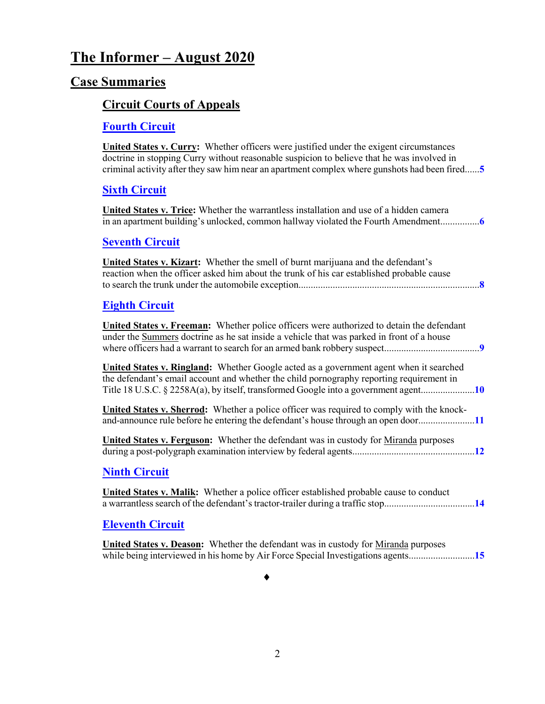# **The Informer – August 2020**

### **Case Summaries**

#### **[Circuit Courts of Appeals](#page-4-0)**

#### **[Fourth Circuit](#page-4-1)**

**United States v. Curry:** Whether officers were justified under the exigent circumstances doctrine in stopping Curry without reasonable suspicion to believe that he was involved in criminal activity after they saw him near an apartment complex where gunshots had been fired......**[5](#page-4-2)**

#### **[Sixth Circuit](#page-5-0)**

**United States v. Trice:** Whether the warrantless installation and use of a hidden camera in an apartment building's unlocked, common hallway violated the Fourth Amendment................**[6](#page-5-1)**

#### **[Seventh Circuit](#page-7-0)**

| <b>United States v. Kizart:</b> Whether the smell of burnt marijuana and the defendant's  |  |
|-------------------------------------------------------------------------------------------|--|
| reaction when the officer asked him about the trunk of his car established probable cause |  |
|                                                                                           |  |
|                                                                                           |  |

#### **[Eighth Circuit](#page-8-0)**

**United States v. Freeman:** Whether police officers were authorized to detain the defendant under the Summers doctrine as he sat inside a vehicle that was parked in front of a house where officers had a warrant to search for an armed bank robbery suspect.......................................**[9](#page-8-1)**

**United States v. Ringland:** Whether Google acted as a government agent when it searched the defendant's email account and whether the child pornography reporting requirement in Title 18 U.S.C. § 2258A(a), by itself, transformed Google into a government agent......................**[10](#page-9-0)**

**United States v. Sherrod:** Whether a police officer was required to comply with the knockand-announce rule before he entering the defendant's house through an open door.......................**[11](#page-10-0)**

**United States v. Ferguson:** Whether the defendant was in custody for Miranda purposes during a post-polygraph examination interview by federal agents..................................................**[12](#page-11-0)**

#### **[Ninth Circuit](#page-13-0)**

**United States v. Malik:** Whether a police officer established probable cause to conduct a warrantless search of the defendant's tractor-trailer during a traffic stop.....................................**[14](#page-13-1)**

#### **[Eleventh Circuit](#page-14-0)**

**United States v. Deason:** Whether the defendant was in custody for Miranda purposes while being interviewed in his home by Air Force Special Investigations agents...........................**[15](#page-14-1)**

♦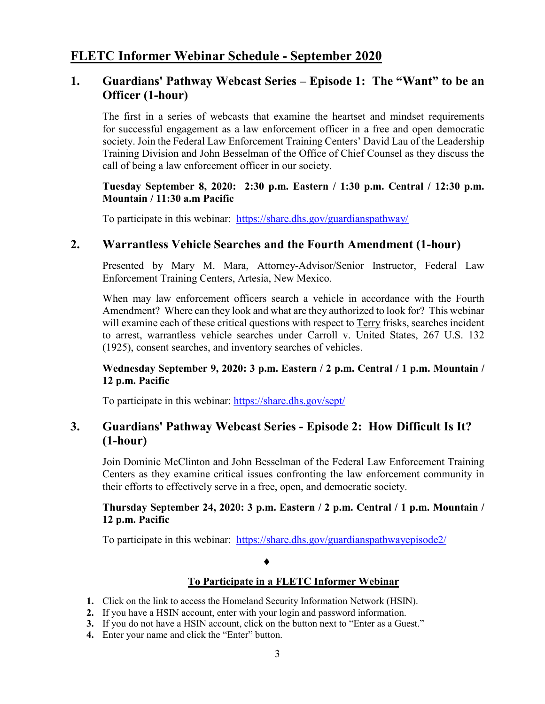#### **FLETC Informer Webinar Schedule - September 2020**

#### **1. Guardians' Pathway Webcast Series – Episode 1: The "Want" to be an Officer (1-hour)**

The first in a series of webcasts that examine the heartset and mindset requirements for successful engagement as a law enforcement officer in a free and open democratic society. Join the Federal Law Enforcement Training Centers' David Lau of the Leadership Training Division and John Besselman of the Office of Chief Counsel as they discuss the call of being a law enforcement officer in our society.

#### **Tuesday September 8, 2020: 2:30 p.m. Eastern / 1:30 p.m. Central / 12:30 p.m. Mountain / 11:30 a.m Pacific**

To participate in this webinar: <https://share.dhs.gov/guardianspathway/>

#### **2. Warrantless Vehicle Searches and the Fourth Amendment (1-hour)**

Presented by Mary M. Mara, Attorney-Advisor/Senior Instructor, Federal Law Enforcement Training Centers, Artesia, New Mexico.

When may law enforcement officers search a vehicle in accordance with the Fourth Amendment? Where can they look and what are they authorized to look for? This webinar will examine each of these critical questions with respect to Terry frisks, searches incident to arrest, warrantless vehicle searches under Carroll v. United States, 267 U.S. 132 (1925), consent searches, and inventory searches of vehicles.

#### **Wednesday September 9, 2020: 3 p.m. Eastern / 2 p.m. Central / 1 p.m. Mountain / 12 p.m. Pacific**

To participate in this webinar: <https://share.dhs.gov/sept/>

#### **3. Guardians' Pathway Webcast Series - Episode 2: How Difficult Is It? (1-hour)**

Join Dominic McClinton and John Besselman of the Federal Law Enforcement Training Centers as they examine critical issues confronting the law enforcement community in their efforts to effectively serve in a free, open, and democratic society.

#### **Thursday September 24, 2020: 3 p.m. Eastern / 2 p.m. Central / 1 p.m. Mountain / 12 p.m. Pacific**

To participate in this webinar: <https://share.dhs.gov/guardianspathwayepisode2/>

#### ♦

#### **To Participate in a FLETC Informer Webinar**

- **1.** Click on the link to access the Homeland Security Information Network (HSIN).
- **2.** If you have a HSIN account, enter with your login and password information.
- **3.** If you do not have a HSIN account, click on the button next to "Enter as a Guest."
- **4.** Enter your name and click the "Enter" button.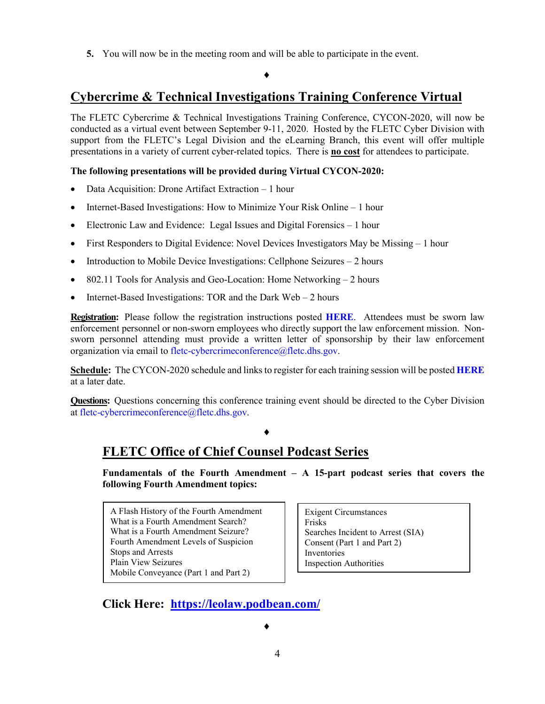**5.** You will now be in the meeting room and will be able to participate in the event.

#### ♦

## **Cybercrime & Technical Investigations Training Conference Virtual**

The FLETC Cybercrime & Technical Investigations Training Conference, CYCON-2020, will now be conducted as a virtual event between September 9-11, 2020. Hosted by the FLETC Cyber Division with support from the FLETC's Legal Division and the eLearning Branch, this event will offer multiple presentations in a variety of current cyber-related topics. There is **no cost** for attendees to participate.

#### **The following presentations will be provided during Virtual CYCON-2020:**

- Data Acquisition: Drone Artifact Extraction 1 hour
- Internet-Based Investigations: How to Minimize Your Risk Online 1 hour
- Electronic Law and Evidence: Legal Issues and Digital Forensics 1 hour
- First Responders to Digital Evidence: Novel Devices Investigators May be Missing 1 hour
- Introduction to Mobile Device Investigations: Cellphone Seizures 2 hours
- 802.11 Tools for Analysis and Geo-Location: Home Networking 2 hours
- Internet-Based Investigations: TOR and the Dark Web 2 hours

**Registration:** Please follow the registration instructions posted **[HERE](https://www.fletc.gov/sites/default/files/imported_files/files/registration_instructions.pdf)**. Attendees must be sworn law enforcement personnel or non-sworn employees who directly support the law enforcement mission. Nonsworn personnel attending must provide a written letter of sponsorship by their law enforcement organization via email t[o fletc-cybercrimeconference@fletc.dhs.gov.](mailto:fletc-cybercrimeconference@fletc.dhs.gov?subject=CYCON%202020%20Registration)

**Schedule:** The CYCON-2020 schedule and links to register for each training session will be posted **[HERE](https://www.fletc.gov/cybercrime-and-technical-investigations-training-conference-virtual)** at a later date.

**Questions:** Questions concerning this conference training event should be directed to the Cyber Division at [fletc-cybercrimeconference@fletc.dhs.gov.](mailto:fletc-cybercrimeconference@fletc.dhs.gov?subject=FLETC%20Cybercrime%20&%20Technical%20Investigations%20Conference)

#### ♦

# **FLETC Office of Chief Counsel Podcast Series**

**Fundamentals of the Fourth Amendment – A 15-part podcast series that covers the following Fourth Amendment topics:** 

A Flash History of the Fourth Amendment What is a Fourth Amendment Search? What is a Fourth Amendment Seizure? Fourth Amendment Levels of Suspicion Stops and Arrests Plain View Seizures Mobile Conveyance (Part 1 and Part 2)

Exigent Circumstances Frisks Searches Incident to Arrest (SIA) Consent (Part 1 and Part 2) Inventories Inspection Authorities

# **Click Here: <https://leolaw.podbean.com/>**

♦

4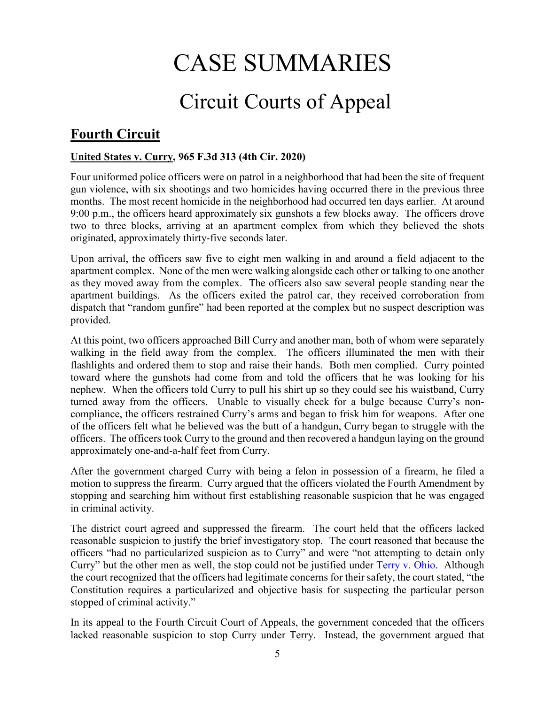# CASE SUMMARIES

# Circuit Courts of Appeal

# <span id="page-4-1"></span><span id="page-4-0"></span>**Fourth Circuit**

#### <span id="page-4-2"></span>**United States v. Curry, 965 F.3d 313 (4th Cir. 2020)**

Four uniformed police officers were on patrol in a neighborhood that had been the site of frequent gun violence, with six shootings and two homicides having occurred there in the previous three months. The most recent homicide in the neighborhood had occurred ten days earlier. At around 9:00 p.m., the officers heard approximately six gunshots a few blocks away. The officers drove two to three blocks, arriving at an apartment complex from which they believed the shots originated, approximately thirty-five seconds later.

Upon arrival, the officers saw five to eight men walking in and around a field adjacent to the apartment complex. None of the men were walking alongside each other or talking to one another as they moved away from the complex. The officers also saw several people standing near the apartment buildings. As the officers exited the patrol car, they received corroboration from dispatch that "random gunfire" had been reported at the complex but no suspect description was provided.

At this point, two officers approached Bill Curry and another man, both of whom were separately walking in the field away from the complex. The officers illuminated the men with their flashlights and ordered them to stop and raise their hands. Both men complied. Curry pointed toward where the gunshots had come from and told the officers that he was looking for his nephew. When the officers told Curry to pull his shirt up so they could see his waistband, Curry turned away from the officers. Unable to visually check for a bulge because Curry's noncompliance, the officers restrained Curry's arms and began to frisk him for weapons. After one of the officers felt what he believed was the butt of a handgun, Curry began to struggle with the officers. The officers took Curry to the ground and then recovered a handgun laying on the ground approximately one-and-a-half feet from Curry.

After the government charged Curry with being a felon in possession of a firearm, he filed a motion to suppress the firearm. Curry argued that the officers violated the Fourth Amendment by stopping and searching him without first establishing reasonable suspicion that he was engaged in criminal activity.

The district court agreed and suppressed the firearm. The court held that the officers lacked reasonable suspicion to justify the brief investigatory stop. The court reasoned that because the officers "had no particularized suspicion as to Curry" and were "not attempting to detain only Curry" but the other men as well, the stop could not be justified under [Terry v. Ohio.](https://supreme.justia.com/cases/federal/us/392/1/) Although the court recognized that the officers had legitimate concerns for their safety, the court stated, "the Constitution requires a particularized and objective basis for suspecting the particular person stopped of criminal activity."

In its appeal to the Fourth Circuit Court of Appeals, the government conceded that the officers lacked reasonable suspicion to stop Curry under Terry. Instead, the government argued that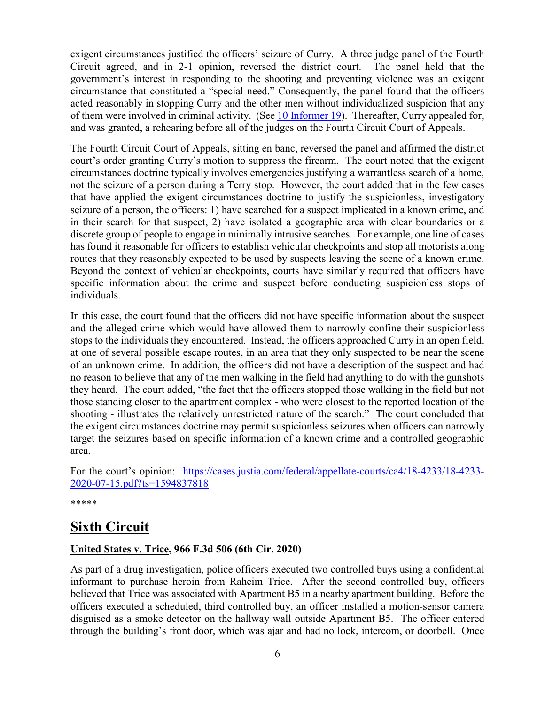exigent circumstances justified the officers' seizure of Curry. A three judge panel of the Fourth Circuit agreed, and in 2-1 opinion, reversed the district court. The panel held that the government's interest in responding to the shooting and preventing violence was an exigent circumstance that constituted a "special need." Consequently, the panel found that the officers acted reasonably in stopping Curry and the other men without individualized suspicion that any of them were involved in criminal activity. (Se[e 10 Informer 19\)](https://www.fletc.gov/sites/default/files/10informer19_0.pdf). Thereafter, Curry appealed for, and was granted, a rehearing before all of the judges on the Fourth Circuit Court of Appeals.

The Fourth Circuit Court of Appeals, sitting en banc, reversed the panel and affirmed the district court's order granting Curry's motion to suppress the firearm. The court noted that the exigent circumstances doctrine typically involves emergencies justifying a warrantless search of a home, not the seizure of a person during a Terry stop. However, the court added that in the few cases that have applied the exigent circumstances doctrine to justify the suspicionless, investigatory seizure of a person, the officers: 1) have searched for a suspect implicated in a known crime, and in their search for that suspect, 2) have isolated a geographic area with clear boundaries or a discrete group of people to engage in minimally intrusive searches. For example, one line of cases has found it reasonable for officers to establish vehicular checkpoints and stop all motorists along routes that they reasonably expected to be used by suspects leaving the scene of a known crime. Beyond the context of vehicular checkpoints, courts have similarly required that officers have specific information about the crime and suspect before conducting suspicionless stops of individuals.

In this case, the court found that the officers did not have specific information about the suspect and the alleged crime which would have allowed them to narrowly confine their suspicionless stops to the individuals they encountered. Instead, the officers approached Curry in an open field, at one of several possible escape routes, in an area that they only suspected to be near the scene of an unknown crime. In addition, the officers did not have a description of the suspect and had no reason to believe that any of the men walking in the field had anything to do with the gunshots they heard. The court added, "the fact that the officers stopped those walking in the field but not those standing closer to the apartment complex - who were closest to the reported location of the shooting - illustrates the relatively unrestricted nature of the search." The court concluded that the exigent circumstances doctrine may permit suspicionless seizures when officers can narrowly target the seizures based on specific information of a known crime and a controlled geographic area.

For the court's opinion: [https://cases.justia.com/federal/appellate-courts/ca4/18-4233/18-4233-](https://cases.justia.com/federal/appellate-courts/ca4/18-4233/18-4233-2020-07-15.pdf?ts=1594837818) [2020-07-15.pdf?ts=1594837818](https://cases.justia.com/federal/appellate-courts/ca4/18-4233/18-4233-2020-07-15.pdf?ts=1594837818)

\*\*\*\*\*

# <span id="page-5-0"></span>**Sixth Circuit**

#### <span id="page-5-1"></span>**United States v. Trice, 966 F.3d 506 (6th Cir. 2020)**

As part of a drug investigation, police officers executed two controlled buys using a confidential informant to purchase heroin from Raheim Trice. After the second controlled buy, officers believed that Trice was associated with Apartment B5 in a nearby apartment building. Before the officers executed a scheduled, third controlled buy, an officer installed a motion-sensor camera disguised as a smoke detector on the hallway wall outside Apartment B5. The officer entered through the building's front door, which was ajar and had no lock, intercom, or doorbell. Once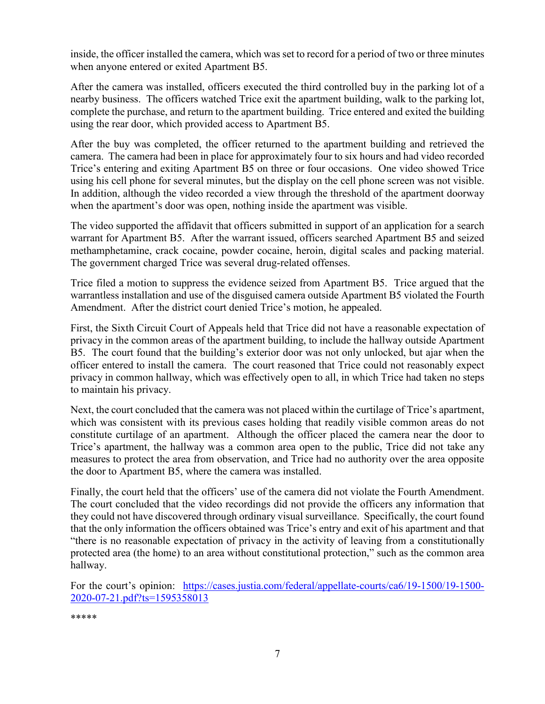inside, the officer installed the camera, which was set to record for a period of two or three minutes when anyone entered or exited Apartment B5.

After the camera was installed, officers executed the third controlled buy in the parking lot of a nearby business. The officers watched Trice exit the apartment building, walk to the parking lot, complete the purchase, and return to the apartment building. Trice entered and exited the building using the rear door, which provided access to Apartment B5.

After the buy was completed, the officer returned to the apartment building and retrieved the camera. The camera had been in place for approximately four to six hours and had video recorded Trice's entering and exiting Apartment B5 on three or four occasions. One video showed Trice using his cell phone for several minutes, but the display on the cell phone screen was not visible. In addition, although the video recorded a view through the threshold of the apartment doorway when the apartment's door was open, nothing inside the apartment was visible.

The video supported the affidavit that officers submitted in support of an application for a search warrant for Apartment B5. After the warrant issued, officers searched Apartment B5 and seized methamphetamine, crack cocaine, powder cocaine, heroin, digital scales and packing material. The government charged Trice was several drug-related offenses.

Trice filed a motion to suppress the evidence seized from Apartment B5. Trice argued that the warrantless installation and use of the disguised camera outside Apartment B5 violated the Fourth Amendment. After the district court denied Trice's motion, he appealed.

First, the Sixth Circuit Court of Appeals held that Trice did not have a reasonable expectation of privacy in the common areas of the apartment building, to include the hallway outside Apartment B5. The court found that the building's exterior door was not only unlocked, but ajar when the officer entered to install the camera. The court reasoned that Trice could not reasonably expect privacy in common hallway, which was effectively open to all, in which Trice had taken no steps to maintain his privacy.

Next, the court concluded that the camera was not placed within the curtilage of Trice's apartment, which was consistent with its previous cases holding that readily visible common areas do not constitute curtilage of an apartment. Although the officer placed the camera near the door to Trice's apartment, the hallway was a common area open to the public, Trice did not take any measures to protect the area from observation, and Trice had no authority over the area opposite the door to Apartment B5, where the camera was installed.

Finally, the court held that the officers' use of the camera did not violate the Fourth Amendment. The court concluded that the video recordings did not provide the officers any information that they could not have discovered through ordinary visual surveillance. Specifically, the court found that the only information the officers obtained was Trice's entry and exit of his apartment and that "there is no reasonable expectation of privacy in the activity of leaving from a constitutionally protected area (the home) to an area without constitutional protection," such as the common area hallway.

For the court's opinion: [https://cases.justia.com/federal/appellate-courts/ca6/19-1500/19-1500-](https://cases.justia.com/federal/appellate-courts/ca6/19-1500/19-1500-2020-07-21.pdf?ts=1595358013) [2020-07-21.pdf?ts=1595358013](https://cases.justia.com/federal/appellate-courts/ca6/19-1500/19-1500-2020-07-21.pdf?ts=1595358013)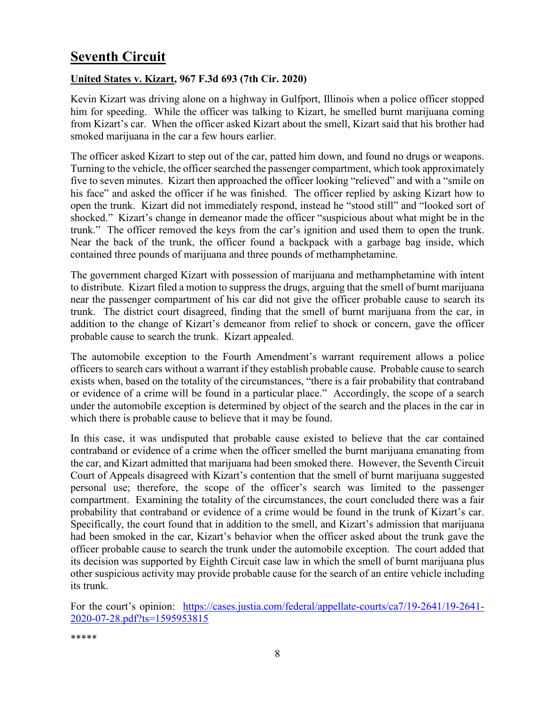# <span id="page-7-0"></span>**Seventh Circuit**

#### <span id="page-7-1"></span>**United States v. Kizart, 967 F.3d 693 (7th Cir. 2020)**

Kevin Kizart was driving alone on a highway in Gulfport, Illinois when a police officer stopped him for speeding. While the officer was talking to Kizart, he smelled burnt marijuana coming from Kizart's car. When the officer asked Kizart about the smell, Kizart said that his brother had smoked marijuana in the car a few hours earlier.

The officer asked Kizart to step out of the car, patted him down, and found no drugs or weapons. Turning to the vehicle, the officer searched the passenger compartment, which took approximately five to seven minutes. Kizart then approached the officer looking "relieved" and with a "smile on his face" and asked the officer if he was finished. The officer replied by asking Kizart how to open the trunk. Kizart did not immediately respond, instead he "stood still" and "looked sort of shocked." Kizart's change in demeanor made the officer "suspicious about what might be in the trunk." The officer removed the keys from the car's ignition and used them to open the trunk. Near the back of the trunk, the officer found a backpack with a garbage bag inside, which contained three pounds of marijuana and three pounds of methamphetamine.

The government charged Kizart with possession of marijuana and methamphetamine with intent to distribute. Kizart filed a motion to suppress the drugs, arguing that the smell of burnt marijuana near the passenger compartment of his car did not give the officer probable cause to search its trunk. The district court disagreed, finding that the smell of burnt marijuana from the car, in addition to the change of Kizart's demeanor from relief to shock or concern, gave the officer probable cause to search the trunk. Kizart appealed.

The automobile exception to the Fourth Amendment's warrant requirement allows a police officers to search cars without a warrant if they establish probable cause. Probable cause to search exists when, based on the totality of the circumstances, "there is a fair probability that contraband or evidence of a crime will be found in a particular place." Accordingly, the scope of a search under the automobile exception is determined by object of the search and the places in the car in which there is probable cause to believe that it may be found.

In this case, it was undisputed that probable cause existed to believe that the car contained contraband or evidence of a crime when the officer smelled the burnt marijuana emanating from the car, and Kizart admitted that marijuana had been smoked there. However, the Seventh Circuit Court of Appeals disagreed with Kizart's contention that the smell of burnt marijuana suggested personal use; therefore, the scope of the officer's search was limited to the passenger compartment. Examining the totality of the circumstances, the court concluded there was a fair probability that contraband or evidence of a crime would be found in the trunk of Kizart's car. Specifically, the court found that in addition to the smell, and Kizart's admission that marijuana had been smoked in the car, Kizart's behavior when the officer asked about the trunk gave the officer probable cause to search the trunk under the automobile exception. The court added that its decision was supported by Eighth Circuit case law in which the smell of burnt marijuana plus other suspicious activity may provide probable cause for the search of an entire vehicle including its trunk.

For the court's opinion: [https://cases.justia.com/federal/appellate-courts/ca7/19-2641/19-2641-](https://cases.justia.com/federal/appellate-courts/ca7/19-2641/19-2641-2020-07-28.pdf?ts=1595953815) [2020-07-28.pdf?ts=1595953815](https://cases.justia.com/federal/appellate-courts/ca7/19-2641/19-2641-2020-07-28.pdf?ts=1595953815)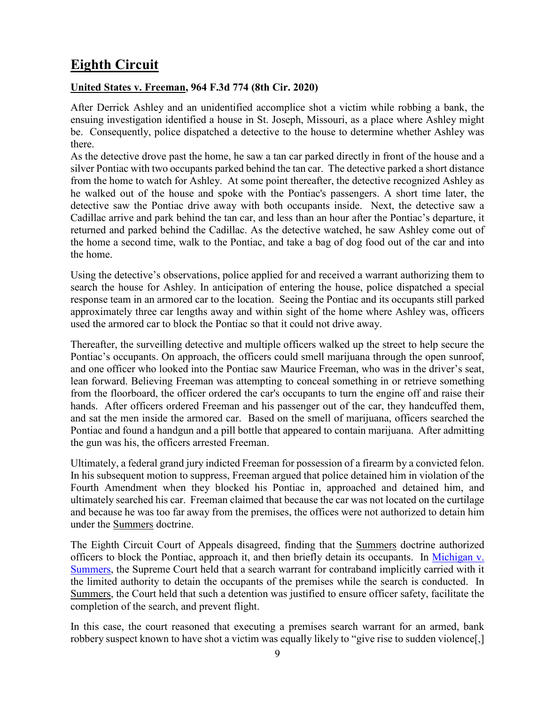# <span id="page-8-0"></span>**Eighth Circuit**

#### <span id="page-8-1"></span>**United States v. Freeman, 964 F.3d 774 (8th Cir. 2020)**

After Derrick Ashley and an unidentified accomplice shot a victim while robbing a bank, the ensuing investigation identified a house in St. Joseph, Missouri, as a place where Ashley might be. Consequently, police dispatched a detective to the house to determine whether Ashley was there.

As the detective drove past the home, he saw a tan car parked directly in front of the house and a silver Pontiac with two occupants parked behind the tan car. The detective parked a short distance from the home to watch for Ashley. At some point thereafter, the detective recognized Ashley as he walked out of the house and spoke with the Pontiac's passengers. A short time later, the detective saw the Pontiac drive away with both occupants inside. Next, the detective saw a Cadillac arrive and park behind the tan car, and less than an hour after the Pontiac's departure, it returned and parked behind the Cadillac. As the detective watched, he saw Ashley come out of the home a second time, walk to the Pontiac, and take a bag of dog food out of the car and into the home.

Using the detective's observations, police applied for and received a warrant authorizing them to search the house for Ashley. In anticipation of entering the house, police dispatched a special response team in an armored car to the location. Seeing the Pontiac and its occupants still parked approximately three car lengths away and within sight of the home where Ashley was, officers used the armored car to block the Pontiac so that it could not drive away.

Thereafter, the surveilling detective and multiple officers walked up the street to help secure the Pontiac's occupants. On approach, the officers could smell marijuana through the open sunroof, and one officer who looked into the Pontiac saw Maurice Freeman, who was in the driver's seat, lean forward. Believing Freeman was attempting to conceal something in or retrieve something from the floorboard, the officer ordered the car's occupants to turn the engine off and raise their hands. After officers ordered Freeman and his passenger out of the car, they handcuffed them, and sat the men inside the armored car. Based on the smell of marijuana, officers searched the Pontiac and found a handgun and a pill bottle that appeared to contain marijuana. After admitting the gun was his, the officers arrested Freeman.

Ultimately, a federal grand jury indicted Freeman for possession of a firearm by a convicted felon. In his subsequent motion to suppress, Freeman argued that police detained him in violation of the Fourth Amendment when they blocked his Pontiac in, approached and detained him, and ultimately searched his car. Freeman claimed that because the car was not located on the curtilage and because he was too far away from the premises, the offices were not authorized to detain him under the Summers doctrine.

The Eighth Circuit Court of Appeals disagreed, finding that the Summers doctrine authorized officers to block the Pontiac, approach it, and then briefly detain its occupants. In Michigan v. [Summers,](https://www.oyez.org/cases/1980/79-1794) the Supreme Court held that a search warrant for contraband implicitly carried with it the limited authority to detain the occupants of the premises while the search is conducted. In Summers, the Court held that such a detention was justified to ensure officer safety, facilitate the completion of the search, and prevent flight.

In this case, the court reasoned that executing a premises search warrant for an armed, bank robbery suspect known to have shot a victim was equally likely to "give rise to sudden violence[,]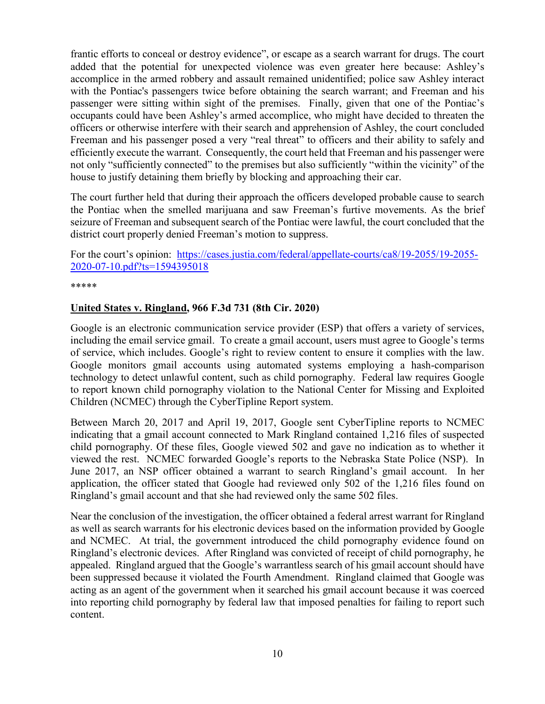frantic efforts to conceal or destroy evidence", or escape as a search warrant for drugs. The court added that the potential for unexpected violence was even greater here because: Ashley's accomplice in the armed robbery and assault remained unidentified; police saw Ashley interact with the Pontiac's passengers twice before obtaining the search warrant; and Freeman and his passenger were sitting within sight of the premises. Finally, given that one of the Pontiac's occupants could have been Ashley's armed accomplice, who might have decided to threaten the officers or otherwise interfere with their search and apprehension of Ashley, the court concluded Freeman and his passenger posed a very "real threat" to officers and their ability to safely and efficiently execute the warrant. Consequently, the court held that Freeman and his passenger were not only "sufficiently connected" to the premises but also sufficiently "within the vicinity" of the house to justify detaining them briefly by blocking and approaching their car.

The court further held that during their approach the officers developed probable cause to search the Pontiac when the smelled marijuana and saw Freeman's furtive movements. As the brief seizure of Freeman and subsequent search of the Pontiac were lawful, the court concluded that the district court properly denied Freeman's motion to suppress.

For the court's opinion: [https://cases.justia.com/federal/appellate-courts/ca8/19-2055/19-2055-](https://cases.justia.com/federal/appellate-courts/ca8/19-2055/19-2055-2020-07-10.pdf?ts=1594395018) [2020-07-10.pdf?ts=1594395018](https://cases.justia.com/federal/appellate-courts/ca8/19-2055/19-2055-2020-07-10.pdf?ts=1594395018)

\*\*\*\*\*

#### <span id="page-9-0"></span>**United States v. Ringland, 966 F.3d 731 (8th Cir. 2020)**

Google is an electronic communication service provider (ESP) that offers a variety of services, including the email service gmail. To create a gmail account, users must agree to Google's terms of service, which includes. Google's right to review content to ensure it complies with the law. Google monitors gmail accounts using automated systems employing a hash-comparison technology to detect unlawful content, such as child pornography. Federal law requires Google to report known child pornography violation to the National Center for Missing and Exploited Children (NCMEC) through the CyberTipline Report system.

Between March 20, 2017 and April 19, 2017, Google sent CyberTipline reports to NCMEC indicating that a gmail account connected to Mark Ringland contained 1,216 files of suspected child pornography. Of these files, Google viewed 502 and gave no indication as to whether it viewed the rest. NCMEC forwarded Google's reports to the Nebraska State Police (NSP). In June 2017, an NSP officer obtained a warrant to search Ringland's gmail account. In her application, the officer stated that Google had reviewed only 502 of the 1,216 files found on Ringland's gmail account and that she had reviewed only the same 502 files.

Near the conclusion of the investigation, the officer obtained a federal arrest warrant for Ringland as well as search warrants for his electronic devices based on the information provided by Google and NCMEC. At trial, the government introduced the child pornography evidence found on Ringland's electronic devices. After Ringland was convicted of receipt of child pornography, he appealed. Ringland argued that the Google's warrantless search of his gmail account should have been suppressed because it violated the Fourth Amendment. Ringland claimed that Google was acting as an agent of the government when it searched his gmail account because it was coerced into reporting child pornography by federal law that imposed penalties for failing to report such content.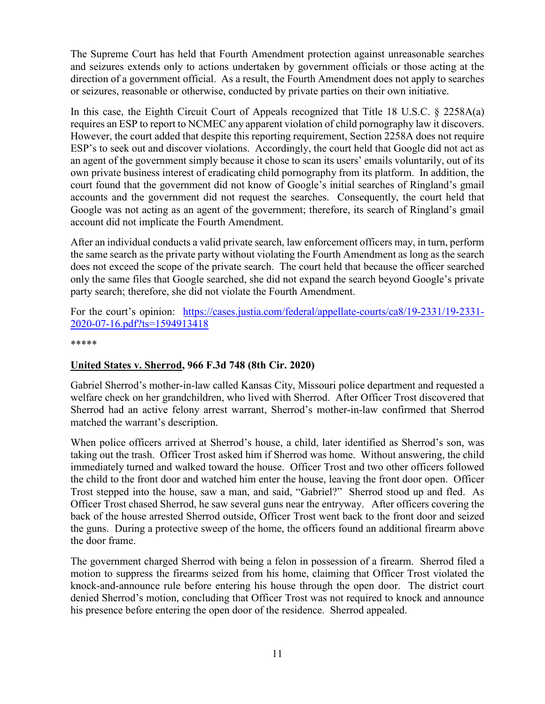The Supreme Court has held that Fourth Amendment protection against unreasonable searches and seizures extends only to actions undertaken by government officials or those acting at the direction of a government official. As a result, the Fourth Amendment does not apply to searches or seizures, reasonable or otherwise, conducted by private parties on their own initiative.

In this case, the Eighth Circuit Court of Appeals recognized that Title 18 U.S.C. § 2258A(a) requires an ESP to report to NCMEC any apparent violation of child pornography law it discovers. However, the court added that despite this reporting requirement, Section 2258A does not require ESP's to seek out and discover violations. Accordingly, the court held that Google did not act as an agent of the government simply because it chose to scan its users' emails voluntarily, out of its own private business interest of eradicating child pornography from its platform. In addition, the court found that the government did not know of Google's initial searches of Ringland's gmail accounts and the government did not request the searches. Consequently, the court held that Google was not acting as an agent of the government; therefore, its search of Ringland's gmail account did not implicate the Fourth Amendment.

After an individual conducts a valid private search, law enforcement officers may, in turn, perform the same search as the private party without violating the Fourth Amendment as long as the search does not exceed the scope of the private search. The court held that because the officer searched only the same files that Google searched, she did not expand the search beyond Google's private party search; therefore, she did not violate the Fourth Amendment.

#### For the court's opinion: [https://cases.justia.com/federal/appellate-courts/ca8/19-2331/19-2331-](https://cases.justia.com/federal/appellate-courts/ca8/19-2331/19-2331-2020-07-16.pdf?ts=1594913418) [2020-07-16.pdf?ts=1594913418](https://cases.justia.com/federal/appellate-courts/ca8/19-2331/19-2331-2020-07-16.pdf?ts=1594913418)

\*\*\*\*\*

#### <span id="page-10-0"></span>**United States v. Sherrod, 966 F.3d 748 (8th Cir. 2020)**

Gabriel Sherrod's mother-in-law called Kansas City, Missouri police department and requested a welfare check on her grandchildren, who lived with Sherrod. After Officer Trost discovered that Sherrod had an active felony arrest warrant, Sherrod's mother-in-law confirmed that Sherrod matched the warrant's description.

When police officers arrived at Sherrod's house, a child, later identified as Sherrod's son, was taking out the trash. Officer Trost asked him if Sherrod was home. Without answering, the child immediately turned and walked toward the house. Officer Trost and two other officers followed the child to the front door and watched him enter the house, leaving the front door open. Officer Trost stepped into the house, saw a man, and said, "Gabriel?" Sherrod stood up and fled. As Officer Trost chased Sherrod, he saw several guns near the entryway. After officers covering the back of the house arrested Sherrod outside, Officer Trost went back to the front door and seized the guns. During a protective sweep of the home, the officers found an additional firearm above the door frame.

The government charged Sherrod with being a felon in possession of a firearm. Sherrod filed a motion to suppress the firearms seized from his home, claiming that Officer Trost violated the knock-and-announce rule before entering his house through the open door. The district court denied Sherrod's motion, concluding that Officer Trost was not required to knock and announce his presence before entering the open door of the residence. Sherrod appealed.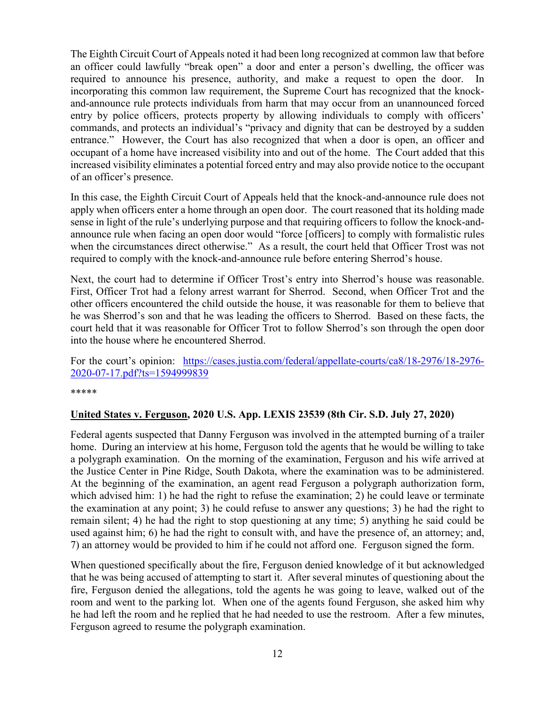The Eighth Circuit Court of Appeals noted it had been long recognized at common law that before an officer could lawfully "break open" a door and enter a person's dwelling, the officer was required to announce his presence, authority, and make a request to open the door. In incorporating this common law requirement, the Supreme Court has recognized that the knockand-announce rule protects individuals from harm that may occur from an unannounced forced entry by police officers, protects property by allowing individuals to comply with officers' commands, and protects an individual's "privacy and dignity that can be destroyed by a sudden entrance." However, the Court has also recognized that when a door is open, an officer and occupant of a home have increased visibility into and out of the home. The Court added that this increased visibility eliminates a potential forced entry and may also provide notice to the occupant of an officer's presence.

In this case, the Eighth Circuit Court of Appeals held that the knock-and-announce rule does not apply when officers enter a home through an open door. The court reasoned that its holding made sense in light of the rule's underlying purpose and that requiring officers to follow the knock-andannounce rule when facing an open door would "force [officers] to comply with formalistic rules when the circumstances direct otherwise." As a result, the court held that Officer Trost was not required to comply with the knock-and-announce rule before entering Sherrod's house.

Next, the court had to determine if Officer Trost's entry into Sherrod's house was reasonable. First, Officer Trot had a felony arrest warrant for Sherrod. Second, when Officer Trot and the other officers encountered the child outside the house, it was reasonable for them to believe that he was Sherrod's son and that he was leading the officers to Sherrod. Based on these facts, the court held that it was reasonable for Officer Trot to follow Sherrod's son through the open door into the house where he encountered Sherrod.

For the court's opinion: [https://cases.justia.com/federal/appellate-courts/ca8/18-2976/18-2976-](https://cases.justia.com/federal/appellate-courts/ca8/18-2976/18-2976-2020-07-17.pdf?ts=1594999839) [2020-07-17.pdf?ts=1594999839](https://cases.justia.com/federal/appellate-courts/ca8/18-2976/18-2976-2020-07-17.pdf?ts=1594999839)

\*\*\*\*\*

#### <span id="page-11-0"></span>**United States v. Ferguson, 2020 U.S. App. LEXIS 23539 (8th Cir. S.D. July 27, 2020)**

Federal agents suspected that Danny Ferguson was involved in the attempted burning of a trailer home. During an interview at his home, Ferguson told the agents that he would be willing to take a polygraph examination. On the morning of the examination, Ferguson and his wife arrived at the Justice Center in Pine Ridge, South Dakota, where the examination was to be administered. At the beginning of the examination, an agent read Ferguson a polygraph authorization form, which advised him: 1) he had the right to refuse the examination; 2) he could leave or terminate the examination at any point; 3) he could refuse to answer any questions; 3) he had the right to remain silent; 4) he had the right to stop questioning at any time; 5) anything he said could be used against him; 6) he had the right to consult with, and have the presence of, an attorney; and, 7) an attorney would be provided to him if he could not afford one. Ferguson signed the form.

When questioned specifically about the fire, Ferguson denied knowledge of it but acknowledged that he was being accused of attempting to start it. After several minutes of questioning about the fire, Ferguson denied the allegations, told the agents he was going to leave, walked out of the room and went to the parking lot. When one of the agents found Ferguson, she asked him why he had left the room and he replied that he had needed to use the restroom. After a few minutes, Ferguson agreed to resume the polygraph examination.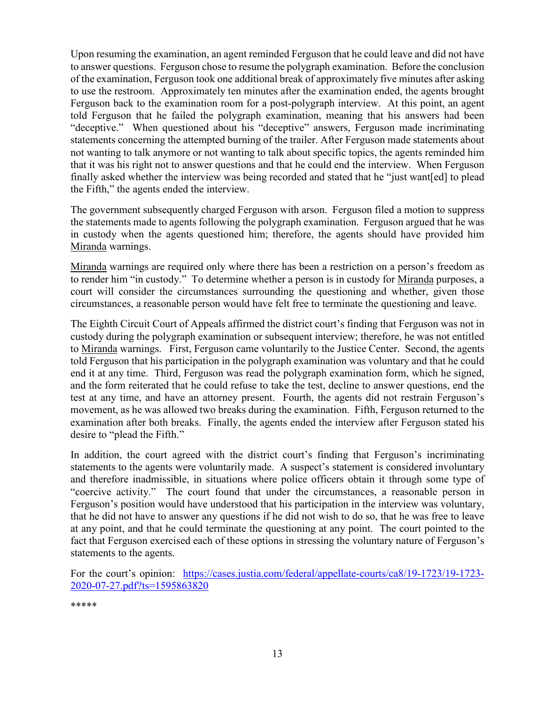Upon resuming the examination, an agent reminded Ferguson that he could leave and did not have to answer questions. Ferguson chose to resume the polygraph examination. Before the conclusion of the examination, Ferguson took one additional break of approximately five minutes after asking to use the restroom. Approximately ten minutes after the examination ended, the agents brought Ferguson back to the examination room for a post-polygraph interview. At this point, an agent told Ferguson that he failed the polygraph examination, meaning that his answers had been "deceptive." When questioned about his "deceptive" answers, Ferguson made incriminating statements concerning the attempted burning of the trailer. After Ferguson made statements about not wanting to talk anymore or not wanting to talk about specific topics, the agents reminded him that it was his right not to answer questions and that he could end the interview. When Ferguson finally asked whether the interview was being recorded and stated that he "just want[ed] to plead the Fifth," the agents ended the interview.

The government subsequently charged Ferguson with arson. Ferguson filed a motion to suppress the statements made to agents following the polygraph examination. Ferguson argued that he was in custody when the agents questioned him; therefore, the agents should have provided him Miranda warnings.

Miranda warnings are required only where there has been a restriction on a person's freedom as to render him "in custody." To determine whether a person is in custody for Miranda purposes, a court will consider the circumstances surrounding the questioning and whether, given those circumstances, a reasonable person would have felt free to terminate the questioning and leave.

The Eighth Circuit Court of Appeals affirmed the district court's finding that Ferguson was not in custody during the polygraph examination or subsequent interview; therefore, he was not entitled to Miranda warnings. First, Ferguson came voluntarily to the Justice Center. Second, the agents told Ferguson that his participation in the polygraph examination was voluntary and that he could end it at any time. Third, Ferguson was read the polygraph examination form, which he signed, and the form reiterated that he could refuse to take the test, decline to answer questions, end the test at any time, and have an attorney present. Fourth, the agents did not restrain Ferguson's movement, as he was allowed two breaks during the examination. Fifth, Ferguson returned to the examination after both breaks. Finally, the agents ended the interview after Ferguson stated his desire to "plead the Fifth."

In addition, the court agreed with the district court's finding that Ferguson's incriminating statements to the agents were voluntarily made. A suspect's statement is considered involuntary and therefore inadmissible, in situations where police officers obtain it through some type of "coercive activity." The court found that under the circumstances, a reasonable person in Ferguson's position would have understood that his participation in the interview was voluntary, that he did not have to answer any questions if he did not wish to do so, that he was free to leave at any point, and that he could terminate the questioning at any point. The court pointed to the fact that Ferguson exercised each of these options in stressing the voluntary nature of Ferguson's statements to the agents.

For the court's opinion: [https://cases.justia.com/federal/appellate-courts/ca8/19-1723/19-1723-](https://cases.justia.com/federal/appellate-courts/ca8/19-1723/19-1723-2020-07-27.pdf?ts=1595863820) [2020-07-27.pdf?ts=1595863820](https://cases.justia.com/federal/appellate-courts/ca8/19-1723/19-1723-2020-07-27.pdf?ts=1595863820)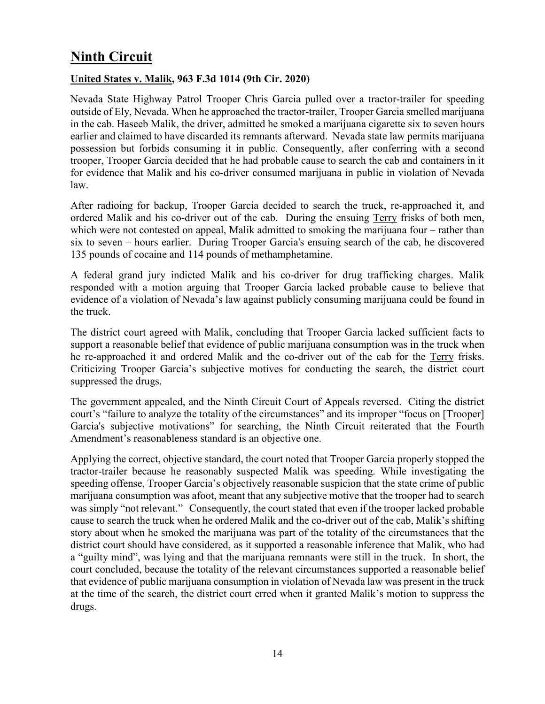# <span id="page-13-0"></span>**Ninth Circuit**

#### <span id="page-13-1"></span>**United States v. Malik, 963 F.3d 1014 (9th Cir. 2020)**

Nevada State Highway Patrol Trooper Chris Garcia pulled over a tractor-trailer for speeding outside of Ely, Nevada. When he approached the tractor-trailer, Trooper Garcia smelled marijuana in the cab. Haseeb Malik, the driver, admitted he smoked a marijuana cigarette six to seven hours earlier and claimed to have discarded its remnants afterward. Nevada state law permits marijuana possession but forbids consuming it in public. Consequently, after conferring with a second trooper, Trooper Garcia decided that he had probable cause to search the cab and containers in it for evidence that Malik and his co-driver consumed marijuana in public in violation of Nevada law.

After radioing for backup, Trooper Garcia decided to search the truck, re-approached it, and ordered Malik and his co-driver out of the cab. During the ensuing Terry frisks of both men, which were not contested on appeal, Malik admitted to smoking the marijuana four – rather than six to seven – hours earlier. During Trooper Garcia's ensuing search of the cab, he discovered 135 pounds of cocaine and 114 pounds of methamphetamine.

A federal grand jury indicted Malik and his co-driver for drug trafficking charges. Malik responded with a motion arguing that Trooper Garcia lacked probable cause to believe that evidence of a violation of Nevada's law against publicly consuming marijuana could be found in the truck.

The district court agreed with Malik, concluding that Trooper Garcia lacked sufficient facts to support a reasonable belief that evidence of public marijuana consumption was in the truck when he re-approached it and ordered Malik and the co-driver out of the cab for the Terry frisks. Criticizing Trooper Garcia's subjective motives for conducting the search, the district court suppressed the drugs.

The government appealed, and the Ninth Circuit Court of Appeals reversed. Citing the district court's "failure to analyze the totality of the circumstances" and its improper "focus on [Trooper] Garcia's subjective motivations" for searching, the Ninth Circuit reiterated that the Fourth Amendment's reasonableness standard is an objective one.

Applying the correct, objective standard, the court noted that Trooper Garcia properly stopped the tractor-trailer because he reasonably suspected Malik was speeding. While investigating the speeding offense, Trooper Garcia's objectively reasonable suspicion that the state crime of public marijuana consumption was afoot, meant that any subjective motive that the trooper had to search was simply "not relevant." Consequently, the court stated that even if the trooper lacked probable cause to search the truck when he ordered Malik and the co-driver out of the cab, Malik's shifting story about when he smoked the marijuana was part of the totality of the circumstances that the district court should have considered, as it supported a reasonable inference that Malik, who had a "guilty mind", was lying and that the marijuana remnants were still in the truck. In short, the court concluded, because the totality of the relevant circumstances supported a reasonable belief that evidence of public marijuana consumption in violation of Nevada law was present in the truck at the time of the search, the district court erred when it granted Malik's motion to suppress the drugs.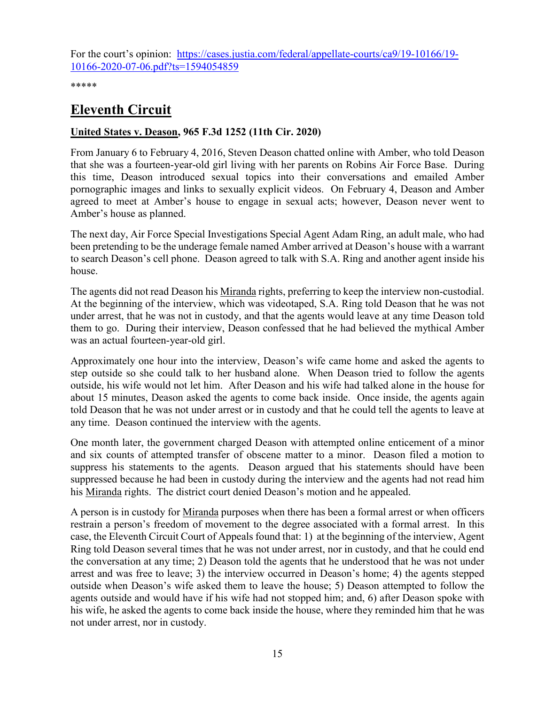For the court's opinion: [https://cases.justia.com/federal/appellate-courts/ca9/19-10166/19-](https://cases.justia.com/federal/appellate-courts/ca9/19-10166/19-10166-2020-07-06.pdf?ts=1594054859) [10166-2020-07-06.pdf?ts=1594054859](https://cases.justia.com/federal/appellate-courts/ca9/19-10166/19-10166-2020-07-06.pdf?ts=1594054859)

\*\*\*\*\*

# <span id="page-14-0"></span>**Eleventh Circuit**

#### <span id="page-14-1"></span>**United States v. Deason, 965 F.3d 1252 (11th Cir. 2020)**

From January 6 to February 4, 2016, Steven Deason chatted online with Amber, who told Deason that she was a fourteen-year-old girl living with her parents on Robins Air Force Base. During this time, Deason introduced sexual topics into their conversations and emailed Amber pornographic images and links to sexually explicit videos. On February 4, Deason and Amber agreed to meet at Amber's house to engage in sexual acts; however, Deason never went to Amber's house as planned.

The next day, Air Force Special Investigations Special Agent Adam Ring, an adult male, who had been pretending to be the underage female named Amber arrived at Deason's house with a warrant to search Deason's cell phone. Deason agreed to talk with S.A. Ring and another agent inside his house.

The agents did not read Deason his Miranda rights, preferring to keep the interview non-custodial. At the beginning of the interview, which was videotaped, S.A. Ring told Deason that he was not under arrest, that he was not in custody, and that the agents would leave at any time Deason told them to go. During their interview, Deason confessed that he had believed the mythical Amber was an actual fourteen-year-old girl.

Approximately one hour into the interview, Deason's wife came home and asked the agents to step outside so she could talk to her husband alone. When Deason tried to follow the agents outside, his wife would not let him. After Deason and his wife had talked alone in the house for about 15 minutes, Deason asked the agents to come back inside. Once inside, the agents again told Deason that he was not under arrest or in custody and that he could tell the agents to leave at any time. Deason continued the interview with the agents.

One month later, the government charged Deason with attempted online enticement of a minor and six counts of attempted transfer of obscene matter to a minor. Deason filed a motion to suppress his statements to the agents. Deason argued that his statements should have been suppressed because he had been in custody during the interview and the agents had not read him his Miranda rights. The district court denied Deason's motion and he appealed.

A person is in custody for Miranda purposes when there has been a formal arrest or when officers restrain a person's freedom of movement to the degree associated with a formal arrest. In this case, the Eleventh Circuit Court of Appeals found that: 1) at the beginning of the interview, Agent Ring told Deason several times that he was not under arrest, nor in custody, and that he could end the conversation at any time; 2) Deason told the agents that he understood that he was not under arrest and was free to leave; 3) the interview occurred in Deason's home; 4) the agents stepped outside when Deason's wife asked them to leave the house; 5) Deason attempted to follow the agents outside and would have if his wife had not stopped him; and, 6) after Deason spoke with his wife, he asked the agents to come back inside the house, where they reminded him that he was not under arrest, nor in custody.